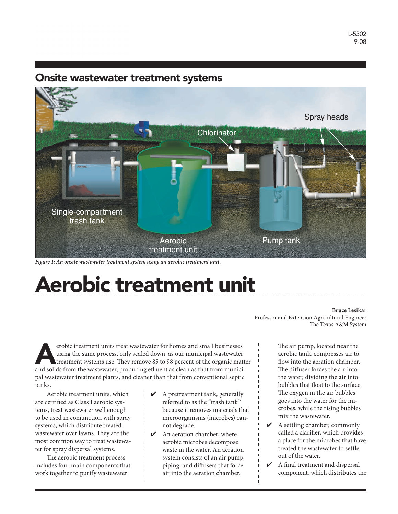# Onsite wastewater treatment systems



*Figure 1: An onsite wastewater treatment system using an aerobic treatment unit.*

# Aerobic treatment unit

#### **Bruce Lesikar**

Professor and Extension Agricultural Engineer The Texas A&M System

erobic treatment units treat wastewater for homes and small businesses<br>using the same process, only scaled down, as our municipal wastewater<br>treatment systems use. They remove 85 to 98 percent of the organic mat<br>and solids using the same process, only scaled down, as our municipal wastewater treatment systems use. They remove 85 to 98 percent of the organic matter and solids from the wastewater, producing effluent as clean as that from municipal wastewater treatment plants, and cleaner than that from conventional septic tanks.

Aerobic treatment units, which are certified as Class I aerobic systems, treat wastewater well enough to be used in conjunction with spray systems, which distribute treated wastewater over lawns. They are the most common way to treat wastewater for spray dispersal systems.

The aerobic treatment process includes four main components that work together to purify wastewater:

- $\boldsymbol{\checkmark}$  A pretreatment tank, generally referred to as the "trash tank" because it removes materials that microorganisms (microbes) cannot degrade.
- $\triangleright$  An aeration chamber, where aerobic microbes decompose waste in the water. An aeration system consists of an air pump, piping, and diffusers that force air into the aeration chamber.

The air pump, located near the aerobic tank, compresses air to flow into the aeration chamber. The diffuser forces the air into the water, dividing the air into bubbles that float to the surface. The oxygen in the air bubbles goes into the water for the microbes, while the rising bubbles mix the wastewater.

- $\triangleright$  A settling chamber, commonly called a clarifier, which provides a place for the microbes that have treated the wastewater to settle out of the water.
- ✔ A final treatment and dispersal component, which distributes the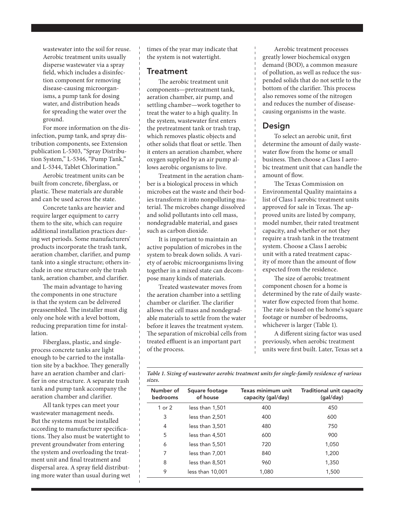wastewater into the soil for reuse. Aerobic treatment units usually disperse wastewater via a spray field, which includes a disinfection component for removing disease-causing microorganisms, a pump tank for dosing water, and distribution heads for spreading the water over the ground.

For more information on the disinfection, pump tank, and spray distribution components, see Extension publication L-5303, "Spray Distribution System," L-5346, "Pump Tank," and L-5344, Tablet Chlorination."

Aerobic treatment units can be built from concrete, fiberglass, or plastic. These materials are durable and can be used across the state.

Concrete tanks are heavier and require larger equipment to carry them to the site, which can require additional installation practices during wet periods. Some manufacturers' products incorporate the trash tank, aeration chamber, clarifier, and pump tank into a single structure; others include in one structure only the trash tank, aeration chamber, and clarifier.

The main advantage to having the components in one structure is that the system can be delivered preassembled. The installer must dig only one hole with a level bottom, reducing preparation time for installation.

Fiberglass, plastic, and singleprocess concrete tanks are light enough to be carried to the installation site by a backhoe. They generally have an aeration chamber and clarifier in one structure. A separate trash tank and pump tank accompany the aeration chamber and clarifier.

All tank types can meet your wastewater management needs. But the systems must be installed according to manufacturer specifications. They also must be watertight to prevent groundwater from entering the system and overloading the treatment unit and final treatment and dispersal area. A spray field distributing more water than usual during wet times of the year may indicate that the system is not watertight.

### **Treatment**

The aerobic treatment unit components—pretreatment tank, aeration chamber, air pump, and settling chamber—work together to treat the water to a high quality. In the system, wastewater first enters the pretreatment tank or trash trap, which removes plastic objects and other solids that float or settle. Then it enters an aeration chamber, where oxygen supplied by an air pump allows aerobic organisms to live.

Treatment in the aeration chamber is a biological process in which microbes eat the waste and their bodies transform it into nonpolluting material. The microbes change dissolved and solid pollutants into cell mass, nondegradable material, and gases such as carbon dioxide.

It is important to maintain an active population of microbes in the system to break down solids. A variety of aerobic microorganisms living together in a mixed state can decompose many kinds of materials.

Treated wastewater moves from the aeration chamber into a settling chamber or clarifier. The clarifier allows the cell mass and nondegradable materials to settle from the water before it leaves the treatment system. The separation of microbial cells from treated effluent is an important part of the process.

Aerobic treatment processes greatly lower biochemical oxygen demand (BOD), a common measure of pollution, as well as reduce the suspended solids that do not settle to the bottom of the clarifier. This process also removes some of the nitrogen and reduces the number of diseasecausing organisms in the waste.

## Design

To select an aerobic unit, first determine the amount of daily wastewater flow from the home or small business. Then choose a Class I aerobic treatment unit that can handle the amount of flow.

The Texas Commission on Environmental Quality maintains a list of Class I aerobic treatment units approved for sale in Texas. The approved units are listed by company, model number, their rated treatment capacity, and whether or not they require a trash tank in the treatment system. Choose a Class I aerobic unit with a rated treatment capacity of more than the amount of flow expected from the residence.

The size of aerobic treatment component chosen for a home is determined by the rate of daily wastewater flow expected from that home. The rate is based on the home's square footage or number of bedrooms, whichever is larger (Table 1).

A different sizing factor was used previously, when aerobic treatment units were first built. Later, Texas set a

*Table 1. Sizing of wastewater aerobic treatment units for single-family residence of various sizes.*

| Number of<br>bedrooms | Square footage<br>of house | Texas minimum unit<br>capacity (gal/day) | Traditional unit capacity<br>(gal/day) |
|-----------------------|----------------------------|------------------------------------------|----------------------------------------|
| 1 or 2                | less than 1,501            | 400                                      | 450                                    |
| 3                     | less than 2,501            | 400                                      | 600                                    |
| 4                     | less than 3,501            | 480                                      | 750                                    |
| 5                     | less than 4.501            | 600                                      | 900                                    |
| 6                     | less than 5,501            | 720                                      | 1,050                                  |
| 7                     | less than 7,001            | 840                                      | 1,200                                  |
| 8                     | less than 8.501            | 960                                      | 1,350                                  |
| 9                     | less than 10,001           | 1,080                                    | 1,500                                  |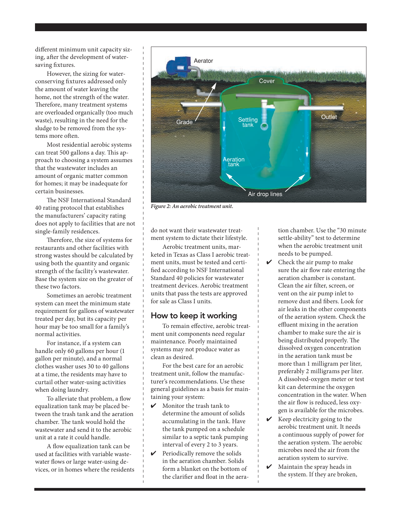different minimum unit capacity sizing, after the development of watersaving fixtures.

However, the sizing for waterconserving fixtures addressed only the amount of water leaving the home, not the strength of the water. Therefore, many treatment systems are overloaded organically (too much waste), resulting in the need for the sludge to be removed from the systems more often.

Most residential aerobic systems can treat 500 gallons a day. This approach to choosing a system assumes that the wastewater includes an amount of organic matter common for homes; it may be inadequate for certain businesses.

The NSF International Standard 40 rating protocol that establishes the manufacturers' capacity rating does not apply to facilities that are not single-family residences.

Therefore, the size of systems for restaurants and other facilities with strong wastes should be calculated by using both the quantity and organic strength of the facility's wastewater. Base the system size on the greater of these two factors.

Sometimes an aerobic treatment system can meet the minimum state requirement for gallons of wastewater treated per day, but its capacity per hour may be too small for a family's normal activities.

For instance, if a system can handle only 60 gallons per hour (1 gallon per minute), and a normal clothes washer uses 30 to 40 gallons at a time, the residents may have to curtail other water-using activities when doing laundry.

To alleviate that problem, a flow equalization tank may be placed between the trash tank and the aeration chamber. The tank would hold the wastewater and send it to the aerobic unit at a rate it could handle.

A flow equalization tank can be used at facilities with variable wastewater flows or large water-using devices, or in homes where the residents



*Figure 2: An aerobic treatment unit.*

do not want their wastewater treatment system to dictate their lifestyle.

Aerobic treatment units, marketed in Texas as Class I aerobic treatment units, must be tested and certified according to NSF International Standard 40 policies for wastewater treatment devices. Aerobic treatment units that pass the tests are approved for sale as Class I units.

### How to keep it working

To remain effective, aerobic treatment unit components need regular maintenance. Poorly maintained systems may not produce water as clean as desired.

For the best care for an aerobic treatment unit, follow the manufacturer's recommendations. Use these general guidelines as a basis for maintaining your system:

- $\boldsymbol{\checkmark}$  Monitor the trash tank to determine the amount of solids accumulating in the tank. Have the tank pumped on a schedule similar to a septic tank pumping interval of every 2 to 3 years.
- $\triangleright$  Periodically remove the solids in the aeration chamber. Solids form a blanket on the bottom of the clarifier and float in the aera-

tion chamber. Use the "30 minute settle-ability" test to determine when the aerobic treatment unit needs to be pumped.

- $\vee$  Check the air pump to make sure the air flow rate entering the aeration chamber is constant. Clean the air filter, screen, or vent on the air pump inlet to remove dust and fibers. Look for air leaks in the other components of the aeration system. Check the effluent mixing in the aeration chamber to make sure the air is being distributed properly. The dissolved oxygen concentration in the aeration tank must be more than 1 milligram per liter, preferably 2 milligrams per liter. A dissolved-oxygen meter or test kit can determine the oxygen concentration in the water. When the air flow is reduced, less oxygen is available for the microbes.
- $\checkmark$  Keep electricity going to the aerobic treatment unit. It needs a continuous supply of power for the aeration system. The aerobic microbes need the air from the aeration system to survive.
- $\boldsymbol{\checkmark}$  Maintain the spray heads in the system. If they are broken,